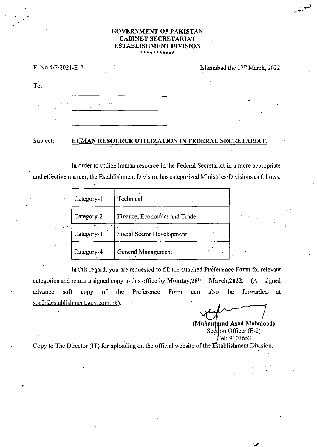# **GOVERNMENT OF PAKISTAN CABINET SECRETARIAT ESTABLISHMENT DIVISION**

#### F. N0.4/7/2021 -E-2

Islamabad the 17<sup>th</sup> March, 2022

العامهي.<br>العامهي.

To:

## Subject: **HUMAN RESOURCE UTILIZATION IN FEDERAL SECRETARIAT.**

In order to utilize human resource in the Federal Secretariat in a more appropriate and effective manner, the Establishment Division has categorized Ministries/Divisions as follows:

| Category-1 | Technical                    |  |
|------------|------------------------------|--|
| Category-2 | Finance, Economics and Trade |  |
| Category-3 | Social Sector Development    |  |
| Category-4 | General Management           |  |

In this regard, you are requested to fill the attached **preference Form** for relevant categories and return a signed copy to this office by Monday, 28<sup>th</sup> March, 2022. (A signed advance soft copy of the Preference Form can also be forwarded at  $\sec 2$  (*establishment.gov.com.pk*).

. .

(Muhammad Asad Mahmood) Sedtion Officer  $(E-2)$ fel: 9103653

Copy to The Director (IT) for uploading on the official website of the Establishment Division.